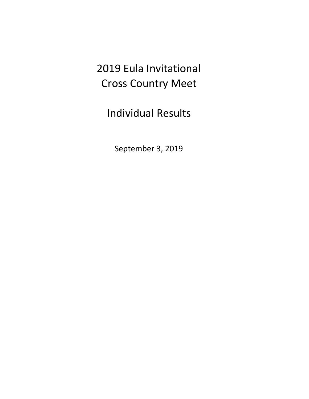# 2019 Eula Invitational Cross Country Meet

Individual Results

September 3, 2019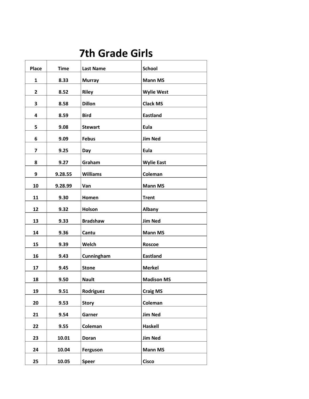### **7th Grade Girls**

| <b>Place</b> | <b>Time</b> | <b>Last Name</b> | <b>School</b>     |
|--------------|-------------|------------------|-------------------|
| 1            | 8.33        | <b>Murray</b>    | <b>Mann MS</b>    |
| $\mathbf{2}$ | 8.52        | <b>Riley</b>     | <b>Wylie West</b> |
| 3            | 8.58        | <b>Dillon</b>    | <b>Clack MS</b>   |
| 4            | 8.59        | <b>Bird</b>      | <b>Eastland</b>   |
| 5            | 9.08        | <b>Stewart</b>   | Eula              |
| 6            | 9.09        | <b>Febus</b>     | <b>Jim Ned</b>    |
| 7            | 9.25        | Day              | Eula              |
| 8            | 9.27        | Graham           | <b>Wylie East</b> |
| 9            | 9.28.55     | <b>Williams</b>  | Coleman           |
| 10           | 9.28.99     | Van              | <b>Mann MS</b>    |
| 11           | 9.30        | Homen            | <b>Trent</b>      |
| 12           | 9.32        | Holson           | <b>Albany</b>     |
| 13           | 9.33        | <b>Bradshaw</b>  | <b>Jim Ned</b>    |
| 14           | 9.36        | Cantu            | <b>Mann MS</b>    |
| 15           | 9.39        | Welch            | <b>Roscoe</b>     |
| 16           | 9.43        | Cunningham       | <b>Eastland</b>   |
| 17           | 9.45        | <b>Stone</b>     | <b>Merkel</b>     |
| 18           | 9.50        | <b>Nault</b>     | <b>Madison MS</b> |
| 19           | 9.51        | Rodriguez        | <b>Craig MS</b>   |
| 20           | 9.53        | <b>Story</b>     | Coleman           |
| 21           | 9.54        | Garner           | <b>Jim Ned</b>    |
| 22           | 9.55        | Coleman          | Haskell           |
| 23           | 10.01       | Doran            | <b>Jim Ned</b>    |
| 24           | 10.04       | Ferguson         | <b>Mann MS</b>    |
| 25           | 10.05       | <b>Speer</b>     | <b>Cisco</b>      |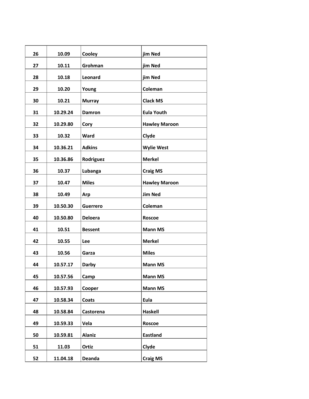| 26 | 10.09    | Cooley          | jim Ned              |
|----|----------|-----------------|----------------------|
| 27 | 10.11    | Grohman         | jim Ned              |
| 28 | 10.18    | Leonard         | jim Ned              |
| 29 | 10.20    | Young           | Coleman              |
| 30 | 10.21    | <b>Murray</b>   | <b>Clack MS</b>      |
| 31 | 10.29.24 | Damron          | <b>Eula Youth</b>    |
| 32 | 10.29.80 | Cory            | <b>Hawley Maroon</b> |
| 33 | 10.32    | Ward            | Clyde                |
| 34 | 10.36.21 | <b>Adkins</b>   | <b>Wylie West</b>    |
| 35 | 10.36.86 | Rodriguez       | <b>Merkel</b>        |
| 36 | 10.37    | Lubanga         | <b>Craig MS</b>      |
| 37 | 10.47    | <b>Miles</b>    | <b>Hawley Maroon</b> |
| 38 | 10.49    | Arp             | <b>Jim Ned</b>       |
| 39 | 10.50.30 | <b>Guerrero</b> | Coleman              |
| 40 | 10.50.80 | <b>Deloera</b>  | <b>Roscoe</b>        |
| 41 | 10.51    | <b>Bessent</b>  | <b>Mann MS</b>       |
| 42 | 10.55    | Lee             | <b>Merkel</b>        |
| 43 | 10.56    | Garza           | <b>Miles</b>         |
| 44 | 10.57.17 | <b>Darby</b>    | <b>Mann MS</b>       |
| 45 | 10.57.56 | Camp            | <b>Mann MS</b>       |
| 46 | 10.57.93 | Cooper          | <b>Mann MS</b>       |
| 47 | 10.58.34 | Coats           | Eula                 |
| 48 | 10.58.84 | Castorena       | Haskell              |
| 49 | 10.59.33 | Vela            | Roscoe               |
| 50 | 10.59.81 | <b>Alaniz</b>   | <b>Eastland</b>      |
| 51 | 11.03    | Ortiz           | Clyde                |
| 52 | 11.04.18 | <b>Deanda</b>   | <b>Craig MS</b>      |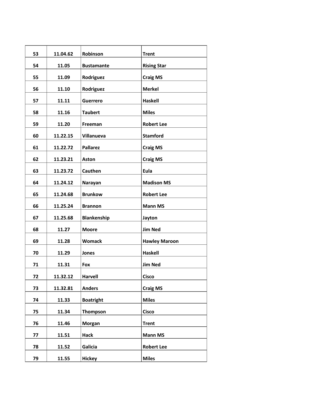| 53 | 11.04.62 | Robinson           | <b>Trent</b>         |
|----|----------|--------------------|----------------------|
| 54 | 11.05    | <b>Bustamante</b>  | <b>Rising Star</b>   |
| 55 | 11.09    | Rodriguez          | <b>Craig MS</b>      |
| 56 | 11.10    | Rodriguez          | <b>Merkel</b>        |
| 57 | 11.11    | <b>Guerrero</b>    | <b>Haskell</b>       |
| 58 | 11.16    | <b>Taubert</b>     | <b>Miles</b>         |
| 59 | 11.20    | Freeman            | <b>Robert Lee</b>    |
| 60 | 11.22.15 | Villanueva         | <b>Stamford</b>      |
| 61 | 11.22.72 | <b>Pallarez</b>    | <b>Craig MS</b>      |
| 62 | 11.23.21 | <b>Aston</b>       | <b>Craig MS</b>      |
| 63 | 11.23.72 | Cauthen            | Eula                 |
| 64 | 11.24.12 | Narayan            | <b>Madison MS</b>    |
| 65 | 11.24.68 | <b>Brunkow</b>     | <b>Robert Lee</b>    |
| 66 | 11.25.24 | <b>Brannon</b>     | <b>Mann MS</b>       |
| 67 | 11.25.68 | <b>Blankenship</b> | Jayton               |
| 68 | 11.27    | <b>Moore</b>       | <b>Jim Ned</b>       |
| 69 | 11.28    | <b>Womack</b>      | <b>Hawley Maroon</b> |
| 70 | 11.29    | Jones              | <b>Haskell</b>       |
| 71 | 11.31    | Fox                | <b>Jim Ned</b>       |
| 72 | 11.32.12 | <b>Harvell</b>     | <b>Cisco</b>         |
| 73 | 11.32.81 | <b>Anders</b>      | <b>Craig MS</b>      |
| 74 | 11.33    | <b>Boatright</b>   | <b>Miles</b>         |
| 75 | 11.34    | Thompson           | <b>Cisco</b>         |
| 76 | 11.46    | Morgan             | <b>Trent</b>         |
| 77 | 11.51    | <b>Hack</b>        | <b>Mann MS</b>       |
| 78 | 11.52    | Galicia            | <b>Robert Lee</b>    |
| 79 | 11.55    | <b>Hickey</b>      | <b>Miles</b>         |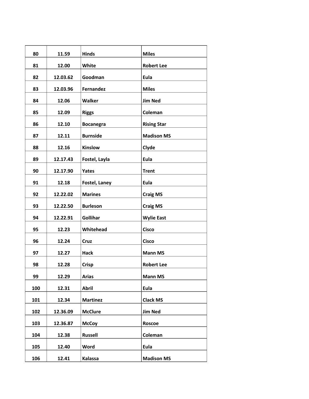| 80  | 11.59    | <b>Hinds</b>     | <b>Miles</b>       |
|-----|----------|------------------|--------------------|
| 81  | 12.00    | White            | <b>Robert Lee</b>  |
| 82  | 12.03.62 | Goodman          | Eula               |
| 83  | 12.03.96 | Fernandez        | <b>Miles</b>       |
| 84  | 12.06    | Walker           | <b>Jim Ned</b>     |
| 85  | 12.09    | <b>Riggs</b>     | Coleman            |
| 86  | 12.10    | <b>Bocanegra</b> | <b>Rising Star</b> |
| 87  | 12.11    | <b>Burnside</b>  | <b>Madison MS</b>  |
| 88  | 12.16    | Kinslow          | Clyde              |
| 89  | 12.17.43 | Fostel, Layla    | Eula               |
| 90  | 12.17.90 | <b>Yates</b>     | <b>Trent</b>       |
| 91  | 12.18    | Fostel, Laney    | Eula               |
| 92  | 12.22.02 | <b>Marines</b>   | <b>Craig MS</b>    |
| 93  | 12.22.50 | <b>Burleson</b>  | <b>Craig MS</b>    |
| 94  | 12.22.91 | Gollihar         | <b>Wylie East</b>  |
| 95  | 12.23    | Whitehead        | <b>Cisco</b>       |
| 96  | 12.24    | Cruz             | <b>Cisco</b>       |
| 97  | 12.27    | <b>Hack</b>      | <b>Mann MS</b>     |
| 98  | 12.28    | <b>Crisp</b>     | <b>Robert Lee</b>  |
| 99  | 12.29    | <b>Arias</b>     | <b>Mann MS</b>     |
| 100 | 12.31    | <b>Abril</b>     | Eula               |
| 101 | 12.34    | <b>Martinez</b>  | <b>Clack MS</b>    |
| 102 | 12.36.09 | <b>McClure</b>   | <b>Jim Ned</b>     |
| 103 | 12.36.87 | <b>McCoy</b>     | <b>Roscoe</b>      |
| 104 | 12.38    | <b>Russell</b>   | Coleman            |
| 105 | 12.40    | Word             | Eula               |
| 106 | 12.41    | <b>Kalassa</b>   | <b>Madison MS</b>  |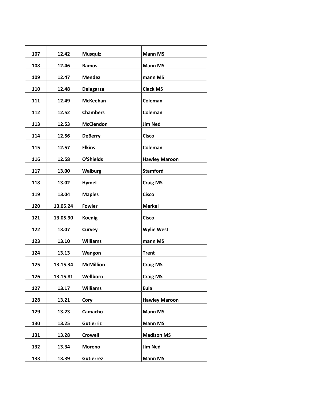| 107 | 12.42    | <b>Musquiz</b>   | <b>Mann MS</b>       |
|-----|----------|------------------|----------------------|
| 108 | 12.46    | Ramos            | <b>Mann MS</b>       |
| 109 | 12.47    | <b>Mendez</b>    | mann MS              |
| 110 | 12.48    | <b>Delagarza</b> | <b>Clack MS</b>      |
| 111 | 12.49    | <b>McKeehan</b>  | Coleman              |
| 112 | 12.52    | <b>Chambers</b>  | Coleman              |
| 113 | 12.53    | <b>McClendon</b> | <b>Jim Ned</b>       |
| 114 | 12.56    | <b>DeBerry</b>   | <b>Cisco</b>         |
| 115 | 12.57    | <b>Elkins</b>    | Coleman              |
| 116 | 12.58    | O'Shields        | <b>Hawley Maroon</b> |
| 117 | 13.00    | <b>Walburg</b>   | <b>Stamford</b>      |
| 118 | 13.02    | Hymel            | <b>Craig MS</b>      |
| 119 | 13.04    | <b>Maples</b>    | <b>Cisco</b>         |
| 120 | 13.05.24 | <b>Fowler</b>    | <b>Merkel</b>        |
| 121 | 13.05.90 | <b>Koenig</b>    | <b>Cisco</b>         |
| 122 | 13.07    | Curvey           | <b>Wylie West</b>    |
| 123 | 13.10    | <b>Williams</b>  | mann MS              |
| 124 | 13.13    | Wangon           | <b>Trent</b>         |
| 125 | 13.15.34 | <b>McMillion</b> | <b>Craig MS</b>      |
| 126 | 13.15.81 | Wellborn         | <b>Craig MS</b>      |
| 127 | 13.17    | <b>Williams</b>  | Eula                 |
| 128 | 13.21    | Cory             | <b>Hawley Maroon</b> |
| 129 | 13.23    | Camacho          | <b>Mann MS</b>       |
| 130 | 13.25    | <b>Gutierriz</b> | <b>Mann MS</b>       |
| 131 | 13.28    | <b>Crowell</b>   | <b>Madison MS</b>    |
| 132 | 13.34    | Moreno           | <b>Jim Ned</b>       |
| 133 | 13.39    | <b>Gutierrez</b> | <b>Mann MS</b>       |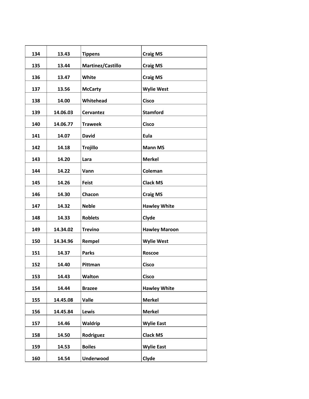| 134 | 13.43    | <b>Tippens</b>    | <b>Craig MS</b>      |
|-----|----------|-------------------|----------------------|
| 135 | 13.44    | Martinez/Castillo | <b>Craig MS</b>      |
| 136 | 13.47    | White             | <b>Craig MS</b>      |
| 137 | 13.56    | <b>McCarty</b>    | <b>Wylie West</b>    |
| 138 | 14.00    | Whitehead         | <b>Cisco</b>         |
| 139 | 14.06.03 | <b>Cervantez</b>  | <b>Stamford</b>      |
| 140 | 14.06.77 | <b>Traweek</b>    | <b>Cisco</b>         |
| 141 | 14.07    | <b>David</b>      | Eula                 |
| 142 | 14.18    | <b>Trojillo</b>   | <b>Mann MS</b>       |
| 143 | 14.20    | Lara              | <b>Merkel</b>        |
| 144 | 14.22    | Vann              | Coleman              |
| 145 | 14.26    | <b>Feist</b>      | <b>Clack MS</b>      |
| 146 | 14.30    | Chacon            | <b>Craig MS</b>      |
| 147 | 14.32    | <b>Neble</b>      | <b>Hawley White</b>  |
| 148 | 14.33    | <b>Roblets</b>    | Clyde                |
| 149 | 14.34.02 | <b>Trevino</b>    | <b>Hawley Maroon</b> |
| 150 | 14.34.96 | Rempel            | <b>Wylie West</b>    |
| 151 | 14.37    | <b>Parks</b>      | <b>Roscoe</b>        |
| 152 | 14.40    | Pittman           | <b>Cisco</b>         |
| 153 | 14.43    | Walton            | <b>Cisco</b>         |
| 154 | 14.44    | <b>Brazee</b>     | <b>Hawley White</b>  |
| 155 | 14.45.08 | <b>Valle</b>      | <b>Merkel</b>        |
| 156 | 14.45.84 | Lewis             | <b>Merkel</b>        |
| 157 | 14.46    | Waldrip           | <b>Wylie East</b>    |
| 158 | 14.50    | Rodriguez         | <b>Clack MS</b>      |
| 159 | 14.53    | <b>Boiles</b>     | <b>Wylie East</b>    |
| 160 | 14.54    | <b>Underwood</b>  | Clyde                |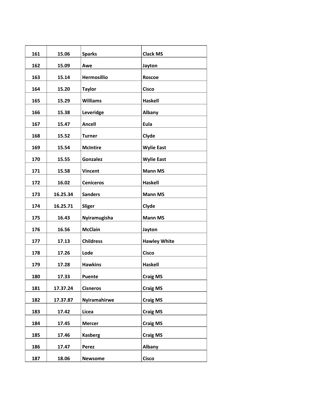| 161 | 15.06    | <b>Sparks</b>      | <b>Clack MS</b>     |
|-----|----------|--------------------|---------------------|
| 162 | 15.09    | Awe                | Jayton              |
| 163 | 15.14    | <b>Hermosillio</b> | <b>Roscoe</b>       |
| 164 | 15.20    | <b>Taylor</b>      | <b>Cisco</b>        |
| 165 | 15.29    | <b>Williams</b>    | <b>Haskell</b>      |
| 166 | 15.38    | Leveridge          | Albany              |
| 167 | 15.47    | <b>Ancell</b>      | Eula                |
| 168 | 15.52    | <b>Turner</b>      | Clyde               |
| 169 | 15.54    | <b>McIntire</b>    | <b>Wylie East</b>   |
| 170 | 15.55    | <b>Gonzalez</b>    | <b>Wylie East</b>   |
| 171 | 15.58    | <b>Vincent</b>     | <b>Mann MS</b>      |
| 172 | 16.02    | <b>Ceniceros</b>   | <b>Haskell</b>      |
| 173 | 16.25.34 | <b>Sanders</b>     | <b>Mann MS</b>      |
| 174 | 16.25.71 | Sliger             | Clyde               |
| 175 | 16.43    | Nyiramugisha       | <b>Mann MS</b>      |
| 176 | 16.56    | <b>McClain</b>     | Jayton              |
| 177 | 17.13    | <b>Childress</b>   | <b>Hawley White</b> |
| 178 | 17.26    | Lode               | <b>Cisco</b>        |
| 179 | 17.28    | <b>Hawkins</b>     | <b>Haskell</b>      |
| 180 | 17.33    | Puente             | <b>Craig MS</b>     |
| 181 | 17.37.24 | <b>Cisneros</b>    | <b>Craig MS</b>     |
| 182 | 17.37.87 | Nyiramahirwe       | <b>Craig MS</b>     |
| 183 | 17.42    | Licea              | <b>Craig MS</b>     |
| 184 | 17.45    | <b>Mercer</b>      | <b>Craig MS</b>     |
| 185 | 17.46    | <b>Kasberg</b>     | <b>Craig MS</b>     |
| 186 | 17.47    | Perez              | Albany              |
| 187 | 18.06    | <b>Newsome</b>     | <b>Cisco</b>        |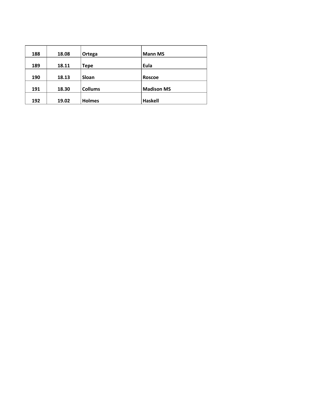| 188 | 18.08 | Ortega         | <b>Mann MS</b>    |  |
|-----|-------|----------------|-------------------|--|
| 189 | 18.11 | <b>Tepe</b>    | Eula              |  |
| 190 | 18.13 | Sloan          | Roscoe            |  |
| 191 | 18.30 | <b>Collums</b> | <b>Madison MS</b> |  |
| 192 | 19.02 | <b>Holmes</b>  | Haskell           |  |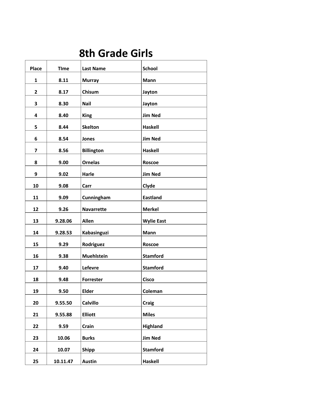### **8th Grade Girls**

| <b>Place</b> | <b>TIme</b> | <b>Last Name</b>  | <b>School</b>     |
|--------------|-------------|-------------------|-------------------|
| 1            | 8.11        | <b>Murray</b>     | Mann              |
| $\mathbf{2}$ | 8.17        | Chisum            | Jayton            |
| 3            | 8.30        | <b>Nail</b>       | Jayton            |
| 4            | 8.40        | <b>King</b>       | <b>Jim Ned</b>    |
| 5            | 8.44        | <b>Skelton</b>    | Haskell           |
| 6            | 8.54        | Jones             | <b>Jim Ned</b>    |
| 7            | 8.56        | <b>Billington</b> | Haskell           |
| 8            | 9.00        | <b>Ornelas</b>    | Roscoe            |
| 9            | 9.02        | Harle             | <b>Jim Ned</b>    |
| 10           | 9.08        | Carr              | Clyde             |
| 11           | 9.09        | Cunningham        | <b>Eastland</b>   |
| 12           | 9.26        | <b>Navarrette</b> | <b>Merkel</b>     |
| 13           | 9.28.06     | <b>Allen</b>      | <b>Wylie East</b> |
| 14           | 9.28.53     | Kabasinguzi       | Mann              |
| 15           | 9.29        | Rodriguez         | <b>Roscoe</b>     |
| 16           | 9.38        | <b>Muehlstein</b> | <b>Stamford</b>   |
| 17           | 9.40        | Lefevre           | <b>Stamford</b>   |
| 18           | 9.48        | <b>Forrester</b>  | <b>Cisco</b>      |
| 19           | 9.50        | <b>Elder</b>      | Coleman           |
| 20           | 9.55.50     | <b>Calvillo</b>   | <b>Craig</b>      |
| 21           | 9.55.88     | <b>Elliott</b>    | <b>Miles</b>      |
| 22           | 9.59        | Crain             | Highland          |
| 23           | 10.06       | <b>Burks</b>      | <b>Jim Ned</b>    |
| 24           | 10.07       | <b>Shipp</b>      | <b>Stamford</b>   |
| 25           | 10.11.47    | <b>Austin</b>     | <b>Haskell</b>    |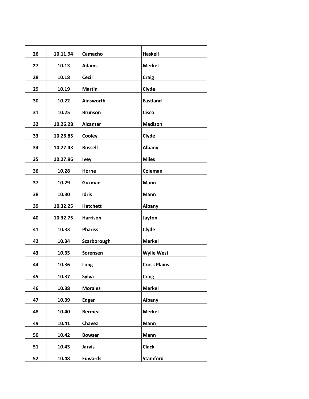| 26 | 10.11.94 | Camacho         | <b>Haskell</b>      |
|----|----------|-----------------|---------------------|
| 27 | 10.13    | <b>Adams</b>    | <b>Merkel</b>       |
| 28 | 10.18    | <b>Cecil</b>    | <b>Craig</b>        |
| 29 | 10.19    | <b>Martin</b>   | Clyde               |
| 30 | 10.22    | Ainsworth       | <b>Eastland</b>     |
| 31 | 10.25    | <b>Brunson</b>  | <b>Cisco</b>        |
| 32 | 10.26.28 | Alcantar        | <b>Madison</b>      |
| 33 | 10.26.85 | Cooley          | Clyde               |
| 34 | 10.27.43 | <b>Russell</b>  | Albany              |
| 35 | 10.27.96 | <b>Ivey</b>     | <b>Miles</b>        |
| 36 | 10.28    | Horne           | Coleman             |
| 37 | 10.29    | Guzman          | <b>Mann</b>         |
| 38 | 10.30    | <b>Idris</b>    | Mann                |
| 39 | 10.32.25 | <b>Hatchett</b> | Albany              |
| 40 | 10.32.75 | <b>Harrison</b> | Jayton              |
| 41 | 10.33    | <b>Phariss</b>  | Clyde               |
| 42 | 10.34    | Scarborough     | <b>Merkel</b>       |
| 43 | 10.35    | <b>Sorensen</b> | <b>Wylie West</b>   |
| 44 | 10.36    | Long            | <b>Cross Plains</b> |
| 45 | 10.37    | Sylva           | <b>Craig</b>        |
| 46 | 10.38    | <b>Morales</b>  | <b>Merkel</b>       |
| 47 | 10.39    | <b>Edgar</b>    | Albany              |
| 48 | 10.40    | <b>Bermea</b>   | <b>Merkel</b>       |
| 49 | 10.41    | <b>Chavez</b>   | Mann                |
| 50 | 10.42    | <b>Bowser</b>   | Mann                |
| 51 | 10.43    | <b>Jarvis</b>   | <b>Clack</b>        |
| 52 | 10.48    | <b>Edwards</b>  | <b>Stamford</b>     |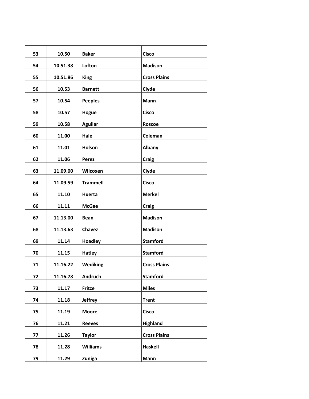| 53 | 10.50    | <b>Baker</b>    | <b>Cisco</b>        |
|----|----------|-----------------|---------------------|
| 54 | 10.51.38 | Lofton          | <b>Madison</b>      |
| 55 | 10.51.86 | <b>King</b>     | <b>Cross Plains</b> |
| 56 | 10.53    | <b>Barnett</b>  | Clyde               |
| 57 | 10.54    | <b>Peeples</b>  | Mann                |
| 58 | 10.57    | Hogue           | <b>Cisco</b>        |
| 59 | 10.58    | <b>Aguilar</b>  | <b>Roscoe</b>       |
| 60 | 11.00    | Hale            | Coleman             |
| 61 | 11.01    | Holson          | <b>Albany</b>       |
| 62 | 11.06    | Perez           | <b>Craig</b>        |
| 63 | 11.09.00 | Wilcoxen        | Clyde               |
| 64 | 11.09.59 | <b>Trammell</b> | <b>Cisco</b>        |
| 65 | 11.10    | Huerta          | <b>Merkel</b>       |
| 66 | 11.11    | <b>McGee</b>    | <b>Craig</b>        |
| 67 | 11.13.00 | <b>Bean</b>     | <b>Madison</b>      |
| 68 | 11.13.63 | <b>Chavez</b>   | <b>Madison</b>      |
| 69 | 11.14    | <b>Hoadley</b>  | <b>Stamford</b>     |
| 70 | 11.15    | <b>Hatley</b>   | <b>Stamford</b>     |
| 71 | 11.16.22 | <b>Wediking</b> | <b>Cross Plains</b> |
| 72 | 11.16.78 | Andruch         | <b>Stamford</b>     |
| 73 | 11.17    | Fritze          | <b>Miles</b>        |
| 74 | 11.18    | <b>Jeffrey</b>  | <b>Trent</b>        |
| 75 | 11.19    | <b>Moore</b>    | <b>Cisco</b>        |
| 76 | 11.21    | <b>Reeves</b>   | <b>Highland</b>     |
| 77 | 11.26    | <b>Taylor</b>   | <b>Cross Plains</b> |
| 78 | 11.28    | <b>Williams</b> | Haskell             |
| 79 | 11.29    | Zuniga          | Mann                |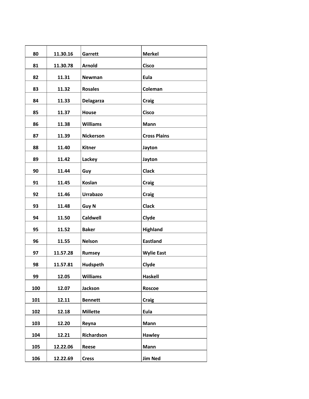| 80  | 11.30.16 | Garrett          | <b>Merkel</b>       |
|-----|----------|------------------|---------------------|
| 81  | 11.30.78 | <b>Arnold</b>    | <b>Cisco</b>        |
| 82  | 11.31    | Newman           | Eula                |
| 83  | 11.32    | <b>Rosales</b>   | Coleman             |
| 84  | 11.33    | <b>Delagarza</b> | <b>Craig</b>        |
| 85  | 11.37    | House            | <b>Cisco</b>        |
| 86  | 11.38    | <b>Williams</b>  | <b>Mann</b>         |
| 87  | 11.39    | <b>Nickerson</b> | <b>Cross Plains</b> |
| 88  | 11.40    | <b>Kitner</b>    | Jayton              |
| 89  | 11.42    | Lackey           | Jayton              |
| 90  | 11.44    | Guy              | <b>Clack</b>        |
| 91  | 11.45    | Koslan           | <b>Craig</b>        |
| 92  | 11.46    | <b>Urrabazo</b>  | <b>Craig</b>        |
| 93  | 11.48    | Guy N            | <b>Clack</b>        |
| 94  | 11.50    | <b>Caldwell</b>  | Clyde               |
| 95  | 11.52    | <b>Baker</b>     | Highland            |
| 96  | 11.55    | <b>Nelson</b>    | <b>Eastland</b>     |
| 97  | 11.57.28 | Rumsey           | <b>Wylie East</b>   |
| 98  | 11.57.81 | Hudspeth         | Clyde               |
| 99  | 12.05    | <b>Williams</b>  | <b>Haskell</b>      |
| 100 | 12.07    | Jackson          | Roscoe              |
| 101 | 12.11    | <b>Bennett</b>   | Craig               |
| 102 | 12.18    | <b>Millette</b>  | Eula                |
| 103 | 12.20    | Reyna            | Mann                |
| 104 | 12.21    | Richardson       | Hawley              |
| 105 | 12.22.06 | Reese            | Mann                |
| 106 | 12.22.69 | <b>Cress</b>     | <b>Jim Ned</b>      |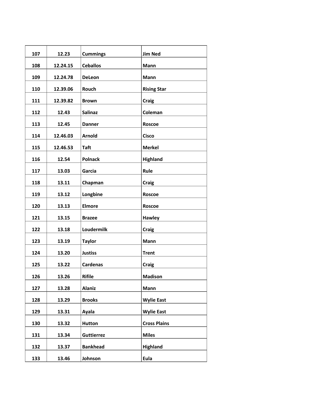| 107 | 12.23    | <b>Cummings</b>   | <b>Jim Ned</b>      |
|-----|----------|-------------------|---------------------|
| 108 | 12.24.15 | <b>Ceballos</b>   | Mann                |
| 109 | 12.24.78 | <b>DeLeon</b>     | <b>Mann</b>         |
| 110 | 12.39.06 | Rouch             | <b>Rising Star</b>  |
| 111 | 12.39.82 | <b>Brown</b>      | <b>Craig</b>        |
| 112 | 12.43    | <b>Salinaz</b>    | Coleman             |
| 113 | 12.45    | <b>Danner</b>     | <b>Roscoe</b>       |
| 114 | 12.46.03 | Arnold            | <b>Cisco</b>        |
| 115 | 12.46.53 | <b>Taft</b>       | <b>Merkel</b>       |
| 116 | 12.54    | <b>Polnack</b>    | <b>Highland</b>     |
| 117 | 13.03    | Garcia            | Rule                |
| 118 | 13.11    | Chapman           | Craig               |
| 119 | 13.12    | Longbine          | <b>Roscoe</b>       |
| 120 | 13.13    | <b>Elmore</b>     | <b>Roscoe</b>       |
| 121 | 13.15    | <b>Brazee</b>     | <b>Hawley</b>       |
| 122 | 13.18    | Loudermilk        | <b>Craig</b>        |
| 123 | 13.19    | <b>Taylor</b>     | <b>Mann</b>         |
| 124 | 13.20    | <b>Justiss</b>    | <b>Trent</b>        |
| 125 | 13.22    | <b>Cardenas</b>   | <b>Craig</b>        |
| 126 | 13.26    | <b>Rifile</b>     | <b>Madison</b>      |
| 127 | 13.28    | <b>Alaniz</b>     | Mann                |
| 128 | 13.29    | <b>Brooks</b>     | <b>Wylie East</b>   |
| 129 | 13.31    | Ayala             | <b>Wylie East</b>   |
| 130 | 13.32    | <b>Hutton</b>     | <b>Cross Plains</b> |
| 131 | 13.34    | <b>Guttierrez</b> | <b>Miles</b>        |
| 132 | 13.37    | <b>Bankhead</b>   | <b>Highland</b>     |
| 133 | 13.46    | Johnson           | Eula                |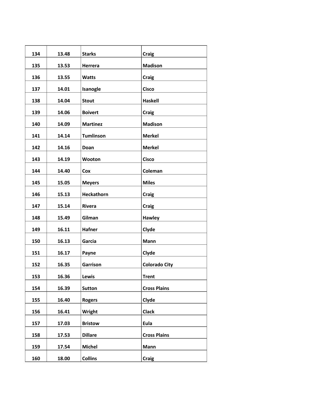| 134 | 13.48 | <b>Starks</b>    | <b>Craig</b>         |
|-----|-------|------------------|----------------------|
| 135 | 13.53 | Herrera          | <b>Madison</b>       |
| 136 | 13.55 | <b>Watts</b>     | <b>Craig</b>         |
| 137 | 14.01 | Isanogle         | <b>Cisco</b>         |
| 138 | 14.04 | <b>Stout</b>     | <b>Haskell</b>       |
| 139 | 14.06 | <b>Boivert</b>   | <b>Craig</b>         |
| 140 | 14.09 | <b>Martinez</b>  | <b>Madison</b>       |
| 141 | 14.14 | <b>Tumlinson</b> | <b>Merkel</b>        |
| 142 | 14.16 | Doan             | <b>Merkel</b>        |
| 143 | 14.19 | Wooton           | <b>Cisco</b>         |
| 144 | 14.40 | Cox              | Coleman              |
| 145 | 15.05 | <b>Meyers</b>    | <b>Miles</b>         |
| 146 | 15.13 | Heckathorn       | <b>Craig</b>         |
| 147 | 15.14 | Rivera           | <b>Craig</b>         |
| 148 | 15.49 | Gilman           | Hawley               |
| 149 | 16.11 | <b>Hafner</b>    | Clyde                |
| 150 | 16.13 | Garcia           | <b>Mann</b>          |
| 151 | 16.17 | Payne            | Clyde                |
| 152 | 16.35 | Garrison         | <b>Colorado City</b> |
| 153 | 16.36 | Lewis            | <b>Trent</b>         |
| 154 | 16.39 | <b>Sutton</b>    | <b>Cross Plains</b>  |
| 155 | 16.40 | <b>Rogers</b>    | Clyde                |
| 156 | 16.41 | Wright           | <b>Clack</b>         |
| 157 | 17.03 | <b>Bristow</b>   | Eula                 |
| 158 | 17.53 | <b>Dillare</b>   | <b>Cross Plains</b>  |
| 159 | 17.54 | <b>Michel</b>    | Mann                 |
| 160 | 18.00 | <b>Collins</b>   | <b>Craig</b>         |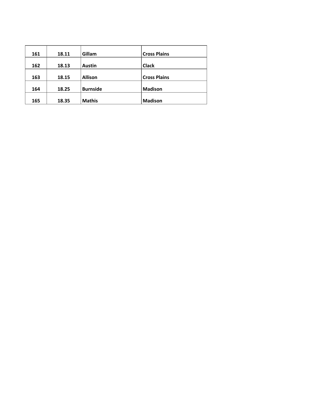| 161 | 18.11 | Gillam          | <b>Cross Plains</b> |
|-----|-------|-----------------|---------------------|
| 162 | 18.13 | <b>Austin</b>   | <b>Clack</b>        |
| 163 | 18.15 | <b>Allison</b>  | <b>Cross Plains</b> |
| 164 | 18.25 | <b>Burnside</b> | <b>Madison</b>      |
| 165 | 18.35 | <b>Mathis</b>   | <b>Madison</b>      |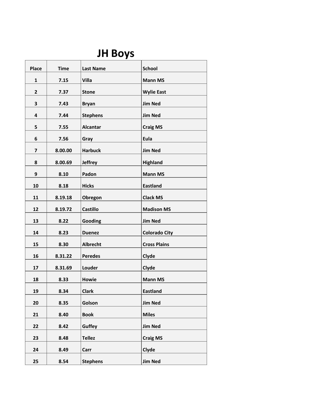# **JH Boys**

| <b>Place</b>   | <b>Time</b>                                                         | <b>Last Name</b>                                                                 | <b>School</b>                                                                                                                                       |
|----------------|---------------------------------------------------------------------|----------------------------------------------------------------------------------|-----------------------------------------------------------------------------------------------------------------------------------------------------|
|                |                                                                     |                                                                                  |                                                                                                                                                     |
| $\mathbf{1}$   | 7.15                                                                | <b>Villa</b>                                                                     | <b>Mann MS</b>                                                                                                                                      |
| $\overline{2}$ | 7.37                                                                | <b>Stone</b>                                                                     | <b>Wylie East</b>                                                                                                                                   |
| 3              | 7.43                                                                | <b>Bryan</b>                                                                     | <b>Jim Ned</b>                                                                                                                                      |
| 4              | 7.44                                                                |                                                                                  | <b>Jim Ned</b>                                                                                                                                      |
|                |                                                                     |                                                                                  | <b>Craig MS</b>                                                                                                                                     |
|                |                                                                     |                                                                                  | Eula                                                                                                                                                |
|                |                                                                     |                                                                                  | <b>Jim Ned</b>                                                                                                                                      |
|                |                                                                     |                                                                                  |                                                                                                                                                     |
|                |                                                                     |                                                                                  | <b>Highland</b>                                                                                                                                     |
|                |                                                                     |                                                                                  | <b>Mann MS</b>                                                                                                                                      |
| 10             | 8.18                                                                | <b>Hicks</b>                                                                     | <b>Eastland</b>                                                                                                                                     |
| 11             | 8.19.18                                                             | Obregon                                                                          | <b>Clack MS</b>                                                                                                                                     |
| 12             | 8.19.72                                                             | <b>Castillo</b>                                                                  | <b>Madison MS</b>                                                                                                                                   |
| 13             | 8.22                                                                | Gooding                                                                          | <b>Jim Ned</b>                                                                                                                                      |
| 14             | 8.23                                                                | <b>Duenez</b>                                                                    | <b>Colorado City</b>                                                                                                                                |
| 15             | 8.30                                                                | <b>Albrecht</b>                                                                  | <b>Cross Plains</b>                                                                                                                                 |
|                |                                                                     |                                                                                  | Clyde                                                                                                                                               |
|                |                                                                     |                                                                                  | Clyde                                                                                                                                               |
|                |                                                                     |                                                                                  | <b>Mann MS</b>                                                                                                                                      |
|                |                                                                     |                                                                                  | <b>Eastland</b>                                                                                                                                     |
|                |                                                                     |                                                                                  |                                                                                                                                                     |
| 20             | 8.35                                                                | Golson                                                                           | <b>Jim Ned</b>                                                                                                                                      |
| 21             | 8.40                                                                | <b>Book</b>                                                                      | <b>Miles</b>                                                                                                                                        |
| 22             | 8.42                                                                | Guffey                                                                           | <b>Jim Ned</b>                                                                                                                                      |
| 23             | 8.48                                                                | <b>Tellez</b>                                                                    | <b>Craig MS</b>                                                                                                                                     |
| 24             | 8.49                                                                | Carr                                                                             | Clyde                                                                                                                                               |
| 25             | 8.54                                                                | <b>Stephens</b>                                                                  | <b>Jim Ned</b>                                                                                                                                      |
|                | 5<br>6<br>$\overline{\mathbf{z}}$<br>8<br>9<br>16<br>17<br>18<br>19 | 7.55<br>7.56<br>8.00.00<br>8.00.69<br>8.10<br>8.31.22<br>8.31.69<br>8.33<br>8.34 | <b>Stephens</b><br><b>Alcantar</b><br>Gray<br><b>Harbuck</b><br><b>Jeffrey</b><br>Padon<br><b>Peredes</b><br>Louder<br><b>Howie</b><br><b>Clark</b> |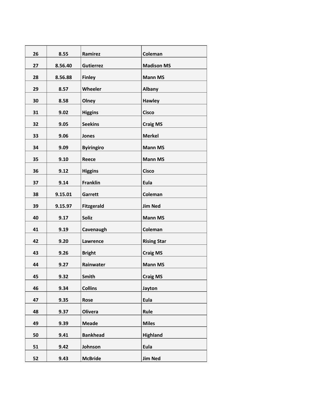| 26 | 8.55    | Ramirez           | Coleman            |
|----|---------|-------------------|--------------------|
| 27 | 8.56.40 | <b>Gutierrez</b>  | <b>Madison MS</b>  |
| 28 | 8.56.88 | <b>Finley</b>     | <b>Mann MS</b>     |
| 29 | 8.57    | Wheeler           | Albany             |
| 30 | 8.58    | Olney             | <b>Hawley</b>      |
| 31 | 9.02    | <b>Higgins</b>    | <b>Cisco</b>       |
| 32 | 9.05    | <b>Seekins</b>    | <b>Craig MS</b>    |
| 33 | 9.06    | Jones             | <b>Merkel</b>      |
| 34 | 9.09    | <b>Byiringiro</b> | <b>Mann MS</b>     |
| 35 | 9.10    | <b>Reece</b>      | <b>Mann MS</b>     |
| 36 | 9.12    | <b>Higgins</b>    | <b>Cisco</b>       |
| 37 | 9.14    | <b>Franklin</b>   | Eula               |
| 38 | 9.15.01 | Garrett           | Coleman            |
| 39 | 9.15.97 | <b>Fitzgerald</b> | <b>Jim Ned</b>     |
| 40 | 9.17    | <b>Soliz</b>      | <b>Mann MS</b>     |
| 41 | 9.19    | Cavenaugh         | Coleman            |
| 42 | 9.20    | Lawrence          | <b>Rising Star</b> |
| 43 | 9.26    | <b>Bright</b>     | <b>Craig MS</b>    |
| 44 | 9.27    | Rainwater         | <b>Mann MS</b>     |
| 45 | 9.32    | Smith             | <b>Craig MS</b>    |
| 46 | 9.34    | <b>Collins</b>    | Jayton             |
| 47 | 9.35    | Rose              | Eula               |
| 48 | 9.37    | <b>Olivera</b>    | Rule               |
| 49 | 9.39    | <b>Meade</b>      | <b>Miles</b>       |
| 50 | 9.41    | <b>Bankhead</b>   | Highland           |
| 51 | 9.42    | Johnson           | Eula               |
| 52 | 9.43    | <b>McBride</b>    | <b>Jim Ned</b>     |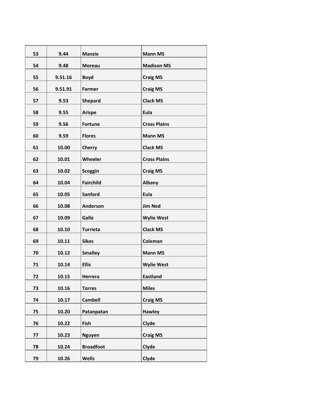| 53 | 9.44    | <b>Manzie</b>    | <b>Mann MS</b>      |
|----|---------|------------------|---------------------|
| 54 | 9.48    | <b>Moreau</b>    | <b>Madison MS</b>   |
| 55 | 9.51.16 | <b>Boyd</b>      | <b>Craig MS</b>     |
| 56 | 9.51.91 | <b>Farmer</b>    | <b>Craig MS</b>     |
| 57 | 9.53    | <b>Shepard</b>   | <b>Clack MS</b>     |
| 58 | 9.55    | <b>Arispe</b>    | Eula                |
| 59 | 9.56    | <b>Fortune</b>   | <b>Cross Plains</b> |
| 60 | 9.59    | <b>Flores</b>    | <b>Mann MS</b>      |
| 61 | 10.00   | <b>Cherry</b>    | <b>Clack MS</b>     |
| 62 | 10.01   | Wheeler          | <b>Cross Plains</b> |
| 63 | 10.02   | <b>Scoggin</b>   | <b>Craig MS</b>     |
| 64 | 10.04   | <b>Fairchild</b> | Albany              |
| 65 | 10.05   | <b>Sanford</b>   | Eula                |
| 66 | 10.08   | Anderson         | <b>Jim Ned</b>      |
| 67 | 10.09   | Galle            | <b>Wylie West</b>   |
| 68 | 10.10   | <b>Turrieta</b>  | <b>Clack MS</b>     |
| 69 | 10.11   | <b>Sikes</b>     | Coleman             |
| 70 | 10.12   | <b>Smalley</b>   | <b>Mann MS</b>      |
| 71 | 10.14   | <b>Ellis</b>     | <b>Wylie West</b>   |
| 72 | 10.15   | Herrera          | <b>Eastland</b>     |
| 73 | 10.16   | <b>Torres</b>    | <b>Miles</b>        |
| 74 | 10.17   | <b>Cambell</b>   | <b>Craig MS</b>     |
| 75 | 10.20   | Patanpatan       | <b>Hawley</b>       |
| 76 | 10.22   | Fish             | Clyde               |
| 77 | 10.23   | <b>Nguyen</b>    | <b>Craig MS</b>     |
| 78 | 10.24   | <b>Broadfoot</b> | Clyde               |
| 79 | 10.26   | <b>Wells</b>     | Clyde               |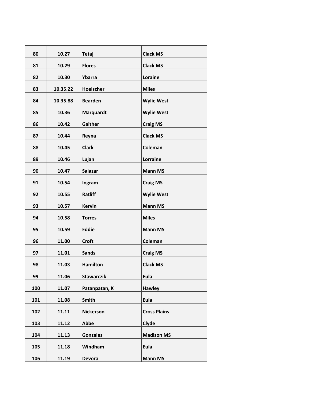| 80  | 10.27    | <b>Tetaj</b>      | <b>Clack MS</b>     |
|-----|----------|-------------------|---------------------|
| 81  | 10.29    | <b>Flores</b>     | <b>Clack MS</b>     |
| 82  | 10.30    | Ybarra            | Loraine             |
| 83  | 10.35.22 | Hoelscher         | <b>Miles</b>        |
| 84  | 10.35.88 | <b>Bearden</b>    | <b>Wylie West</b>   |
| 85  | 10.36    | Marquardt         | <b>Wylie West</b>   |
| 86  | 10.42    | Gaither           | <b>Craig MS</b>     |
| 87  | 10.44    | Reyna             | <b>Clack MS</b>     |
| 88  | 10.45    | <b>Clark</b>      | Coleman             |
| 89  | 10.46    | Lujan             | Lorraine            |
| 90  | 10.47    | <b>Salazar</b>    | <b>Mann MS</b>      |
| 91  | 10.54    | Ingram            | <b>Craig MS</b>     |
| 92  | 10.55    | Ratliff           | <b>Wylie West</b>   |
| 93  | 10.57    | <b>Kervin</b>     | <b>Mann MS</b>      |
| 94  | 10.58    | <b>Torres</b>     | <b>Miles</b>        |
| 95  | 10.59    | <b>Eddie</b>      | <b>Mann MS</b>      |
| 96  | 11.00    | <b>Croft</b>      | Coleman             |
| 97  | 11.01    | <b>Sands</b>      | <b>Craig MS</b>     |
| 98  | 11.03    | <b>Hamilton</b>   | <b>Clack MS</b>     |
| 99  | 11.06    | <b>Stawarczik</b> | Eula                |
| 100 | 11.07    | Patanpatan, K     | <b>Hawley</b>       |
|     |          | <b>Smith</b>      | Eula                |
| 101 | 11.08    |                   |                     |
| 102 | 11.11    | <b>Nickerson</b>  | <b>Cross Plains</b> |
| 103 | 11.12    | Abbe              | Clyde               |
| 104 | 11.13    | <b>Gonzales</b>   | <b>Madison MS</b>   |
| 105 | 11.18    | Windham           | Eula                |
| 106 | 11.19    | <b>Devora</b>     | <b>Mann MS</b>      |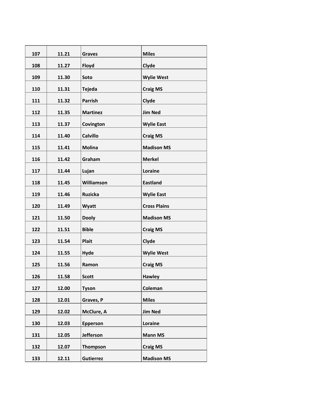| 107 | 11.21 | <b>Graves</b>    | <b>Miles</b>        |
|-----|-------|------------------|---------------------|
| 108 | 11.27 | Floyd            | Clyde               |
| 109 | 11.30 | Soto             | <b>Wylie West</b>   |
| 110 | 11.31 | <b>Tejeda</b>    | <b>Craig MS</b>     |
| 111 | 11.32 | <b>Parrish</b>   | Clyde               |
| 112 | 11.35 | <b>Martinez</b>  | <b>Jim Ned</b>      |
| 113 | 11.37 | Covington        | <b>Wylie East</b>   |
| 114 | 11.40 | <b>Calvillo</b>  | <b>Craig MS</b>     |
| 115 | 11.41 | <b>Molina</b>    | <b>Madison MS</b>   |
| 116 | 11.42 | Graham           | <b>Merkel</b>       |
| 117 | 11.44 | Lujan            | Loraine             |
| 118 | 11.45 | Williamson       | <b>Eastland</b>     |
| 119 | 11.46 | <b>Ruzicka</b>   | <b>Wylie East</b>   |
| 120 | 11.49 | Wyatt            | <b>Cross Plains</b> |
| 121 | 11.50 | <b>Dooly</b>     | <b>Madison MS</b>   |
| 122 | 11.51 | <b>Bible</b>     | <b>Craig MS</b>     |
| 123 | 11.54 | <b>Plait</b>     | Clyde               |
| 124 | 11.55 | <b>Hyde</b>      | <b>Wylie West</b>   |
| 125 | 11.56 | Ramon            | <b>Craig MS</b>     |
| 126 | 11.58 | <b>Scott</b>     | <b>Hawley</b>       |
| 127 | 12.00 | <b>Tyson</b>     | Coleman             |
| 128 | 12.01 | Graves, P        | <b>Miles</b>        |
| 129 | 12.02 | McClure, A       | <b>Jim Ned</b>      |
| 130 | 12.03 | Epperson         | Loraine             |
| 131 | 12.05 | Jefferson        | <b>Mann MS</b>      |
| 132 | 12.07 | <b>Thompson</b>  | <b>Craig MS</b>     |
| 133 | 12.11 | <b>Gutierrez</b> | <b>Madison MS</b>   |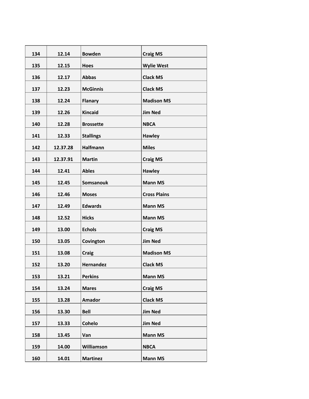| 134 | 12.14    | <b>Bowden</b>    | <b>Craig MS</b>     |
|-----|----------|------------------|---------------------|
| 135 | 12.15    | <b>Hoes</b>      | <b>Wylie West</b>   |
| 136 | 12.17    | <b>Abbas</b>     | <b>Clack MS</b>     |
| 137 | 12.23    | <b>McGinnis</b>  | <b>Clack MS</b>     |
| 138 | 12.24    | <b>Flanary</b>   | <b>Madison MS</b>   |
| 139 | 12.26    | <b>Kincaid</b>   | <b>Jim Ned</b>      |
| 140 | 12.28    | <b>Brossette</b> | <b>NBCA</b>         |
| 141 | 12.33    | <b>Stallings</b> | <b>Hawley</b>       |
| 142 | 12.37.28 | <b>Halfmann</b>  | <b>Miles</b>        |
| 143 | 12.37.91 | <b>Martin</b>    | <b>Craig MS</b>     |
| 144 | 12.41    | <b>Ables</b>     | <b>Hawley</b>       |
| 145 | 12.45    | <b>Somsanouk</b> | <b>Mann MS</b>      |
| 146 | 12.46    | <b>Moses</b>     | <b>Cross Plains</b> |
| 147 | 12.49    | <b>Edwards</b>   | <b>Mann MS</b>      |
| 148 | 12.52    | <b>Hicks</b>     | <b>Mann MS</b>      |
| 149 | 13.00    | <b>Echols</b>    | <b>Craig MS</b>     |
| 150 | 13.05    | Covington        | <b>Jim Ned</b>      |
| 151 | 13.08    | <b>Craig</b>     | <b>Madison MS</b>   |
| 152 | 13.20    | <b>Hernandez</b> | <b>Clack MS</b>     |
| 153 | 13.21    | <b>Perkins</b>   | <b>Mann MS</b>      |
| 154 | 13.24    | <b>Mares</b>     | <b>Craig MS</b>     |
| 155 | 13.28    | <b>Amador</b>    | <b>Clack MS</b>     |
| 156 | 13.30    | <b>Bell</b>      | <b>Jim Ned</b>      |
| 157 | 13.33    | <b>Cohelo</b>    | <b>Jim Ned</b>      |
| 158 | 13.45    | Van              | <b>Mann MS</b>      |
| 159 | 14.00    | Williamson       | <b>NBCA</b>         |
| 160 | 14.01    | <b>Martinez</b>  | <b>Mann MS</b>      |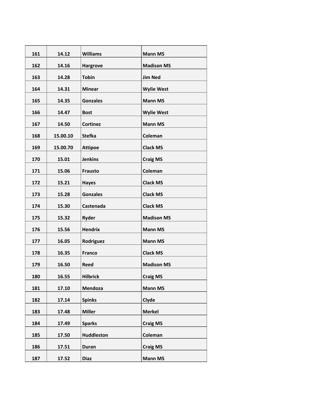| 161 | 14.12    | <b>Williams</b>   | <b>Mann MS</b>    |
|-----|----------|-------------------|-------------------|
| 162 | 14.16    | <b>Hargrove</b>   | <b>Madison MS</b> |
| 163 | 14.28    | <b>Tobin</b>      | <b>Jim Ned</b>    |
| 164 | 14.31    | <b>Minear</b>     | <b>Wylie West</b> |
| 165 | 14.35    | <b>Gonzales</b>   | <b>Mann MS</b>    |
| 166 | 14.47    | <b>Bost</b>       | <b>Wylie West</b> |
| 167 | 14.50    | <b>Cortinez</b>   | <b>Mann MS</b>    |
| 168 | 15.00.10 | <b>Stefka</b>     | Coleman           |
| 169 | 15.00.70 | <b>Attipoe</b>    | <b>Clack MS</b>   |
| 170 | 15.01    | <b>Jenkins</b>    | <b>Craig MS</b>   |
| 171 | 15.06    | <b>Frausto</b>    | Coleman           |
| 172 | 15.21    | <b>Hayes</b>      | <b>Clack MS</b>   |
| 173 | 15.28    | <b>Gonzales</b>   | <b>Clack MS</b>   |
| 174 | 15.30    | Castenada         | <b>Clack MS</b>   |
| 175 | 15.32    | <b>Ryder</b>      | <b>Madison MS</b> |
| 176 | 15.56    | <b>Hendrix</b>    | <b>Mann MS</b>    |
| 177 | 16.05    | Rodriguez         | <b>Mann MS</b>    |
| 178 | 16.35    | <b>Franco</b>     | <b>Clack MS</b>   |
| 179 | 16.50    | <b>Reed</b>       | <b>Madison MS</b> |
| 180 | 16.55    | <b>Hilbrick</b>   | <b>Craig MS</b>   |
| 181 | 17.10    | Mendoza           | <b>Mann MS</b>    |
| 182 | 17.14    | <b>Spinks</b>     | Clyde             |
| 183 | 17.48    | <b>Miller</b>     | <b>Merkel</b>     |
| 184 | 17.49    | <b>Sparks</b>     | <b>Craig MS</b>   |
| 185 | 17.50    | <b>Huddleston</b> | Coleman           |
| 186 | 17.51    | <b>Duran</b>      | <b>Craig MS</b>   |
| 187 | 17.52    | <b>Diaz</b>       | <b>Mann MS</b>    |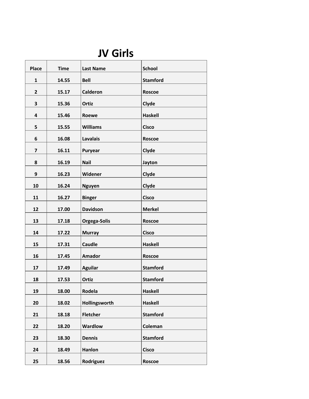### **JV Girls**

| <b>Place</b>            | <b>Time</b> | <b>Last Name</b> | <b>School</b>   |
|-------------------------|-------------|------------------|-----------------|
| $\mathbf{1}$            | 14.55       | <b>Bell</b>      | <b>Stamford</b> |
| $\overline{2}$          | 15.17       | <b>Calderon</b>  | <b>Roscoe</b>   |
| 3                       | 15.36       | Ortiz            | Clyde           |
| 4                       | 15.46       | Roewe            | <b>Haskell</b>  |
| 5                       | 15.55       | <b>Williams</b>  | <b>Cisco</b>    |
| 6                       | 16.08       | <b>Lavalais</b>  | <b>Roscoe</b>   |
| $\overline{\mathbf{z}}$ | 16.11       | Puryear          | Clyde           |
| 8                       |             | <b>Nail</b>      |                 |
|                         | 16.19       |                  | Jayton          |
| 9                       | 16.23       | Widener          | Clyde           |
| 10                      | 16.24       | <b>Nguyen</b>    | Clyde           |
| 11                      | 16.27       | <b>Binger</b>    | <b>Cisco</b>    |
| 12                      | 17.00       | <b>Davidson</b>  | <b>Merkel</b>   |
| 13                      | 17.18       | Orgega-Solis     | <b>Roscoe</b>   |
| 14                      | 17.22       | <b>Murray</b>    | <b>Cisco</b>    |
| 15                      | 17.31       | <b>Caudle</b>    | <b>Haskell</b>  |
| 16                      | 17.45       | <b>Amador</b>    | <b>Roscoe</b>   |
| 17                      | 17.49       | <b>Aguilar</b>   | <b>Stamford</b> |
| 18                      | 17.53       | Ortiz            | <b>Stamford</b> |
| 19                      | 18.00       | Rodela           | <b>Haskell</b>  |
| 20                      | 18.02       | Hollingsworth    | <b>Haskell</b>  |
| 21                      | 18.18       | <b>Fletcher</b>  | <b>Stamford</b> |
| 22                      | 18.20       | <b>Wardlow</b>   | Coleman         |
|                         |             |                  |                 |
| 23                      | 18.30       | <b>Dennis</b>    | <b>Stamford</b> |
| 24                      | 18.49       | Hanlon           | <b>Cisco</b>    |
| 25                      | 18.56       | Rodriguez        | <b>Roscoe</b>   |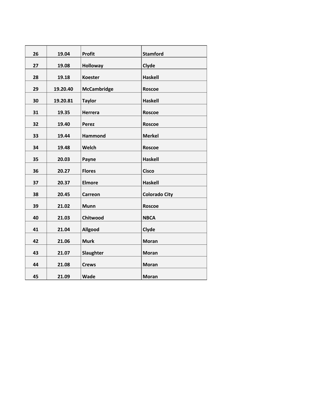| 26 | 19.04    | Profit             | <b>Stamford</b>      |
|----|----------|--------------------|----------------------|
| 27 | 19.08    | <b>Holloway</b>    | Clyde                |
| 28 | 19.18    | <b>Koester</b>     | <b>Haskell</b>       |
| 29 | 19.20.40 | <b>McCambridge</b> | <b>Roscoe</b>        |
| 30 | 19.20.81 | <b>Taylor</b>      | <b>Haskell</b>       |
| 31 | 19.35    | Herrera            | <b>Roscoe</b>        |
| 32 | 19.40    | <b>Perez</b>       | <b>Roscoe</b>        |
| 33 | 19.44    | Hammond            | <b>Merkel</b>        |
| 34 | 19.48    | Welch              | <b>Roscoe</b>        |
| 35 | 20.03    | Payne              | <b>Haskell</b>       |
| 36 | 20.27    | <b>Flores</b>      | <b>Cisco</b>         |
| 37 | 20.37    | <b>Elmore</b>      | <b>Haskell</b>       |
| 38 | 20.45    | <b>Carreon</b>     | <b>Colorado City</b> |
| 39 | 21.02    | <b>Munn</b>        | <b>Roscoe</b>        |
| 40 | 21.03    | Chitwood           | <b>NBCA</b>          |
| 41 | 21.04    | Allgood            | Clyde                |
| 42 | 21.06    | <b>Murk</b>        | <b>Moran</b>         |
| 43 | 21.07    | Slaughter          | <b>Moran</b>         |
| 44 | 21.08    | <b>Crews</b>       | <b>Moran</b>         |
| 45 | 21.09    | <b>Wade</b>        | <b>Moran</b>         |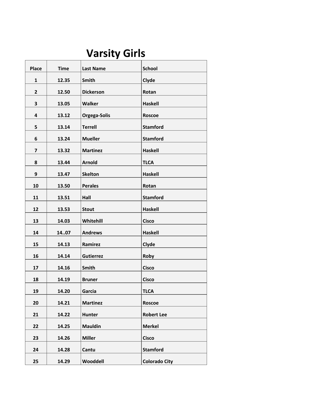# **Varsity Girls**

| <b>Place</b>            | <b>Time</b> | <b>Last Name</b> | <b>School</b>        |
|-------------------------|-------------|------------------|----------------------|
| $\mathbf{1}$            | 12.35       | Smith            | Clyde                |
| $\overline{2}$          | 12.50       | <b>Dickerson</b> | Rotan                |
| 3                       | 13.05       | <b>Walker</b>    | <b>Haskell</b>       |
| 4                       | 13.12       | Orgega-Solis     | <b>Roscoe</b>        |
| 5                       | 13.14       | <b>Terrell</b>   | <b>Stamford</b>      |
| 6                       | 13.24       | <b>Mueller</b>   | <b>Stamford</b>      |
| $\overline{\mathbf{z}}$ | 13.32       | <b>Martinez</b>  | <b>Haskell</b>       |
| 8                       | 13.44       | <b>Arnold</b>    | <b>TLCA</b>          |
| 9                       | 13.47       | <b>Skelton</b>   | <b>Haskell</b>       |
| 10                      | 13.50       | <b>Perales</b>   | Rotan                |
| 11                      | 13.51       | Hall             | <b>Stamford</b>      |
| 12                      | 13.53       | <b>Stout</b>     | <b>Haskell</b>       |
| 13                      | 14.03       | Whitehill        | <b>Cisco</b>         |
| 14                      | 1407        | <b>Andrews</b>   | <b>Haskell</b>       |
| 15                      | 14.13       | Ramirez          | Clyde                |
| 16                      | 14.14       | <b>Gutierrez</b> | Roby                 |
| 17                      | 14.16       | Smith            | <b>Cisco</b>         |
| 18                      | 14.19       | <b>Bruner</b>    | <b>Cisco</b>         |
| 19                      | 14.20       | Garcia           | <b>TLCA</b>          |
| 20                      | 14.21       | <b>Martinez</b>  | <b>Roscoe</b>        |
| 21                      | 14.22       | <b>Hunter</b>    | <b>Robert Lee</b>    |
| 22                      | 14.25       | <b>Mauldin</b>   | <b>Merkel</b>        |
| 23                      | 14.26       | <b>Miller</b>    | <b>Cisco</b>         |
| 24                      | 14.28       | Cantu            | <b>Stamford</b>      |
| 25                      | 14.29       | Wooddell         | <b>Colorado City</b> |
|                         |             |                  |                      |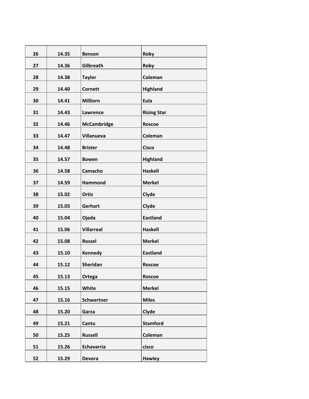| 26 | 14.35 | <b>Benson</b>      | Roby               |
|----|-------|--------------------|--------------------|
| 27 | 14.36 | Gilbreath          | Roby               |
| 28 | 14.38 | <b>Taylor</b>      | Coleman            |
| 29 | 14.40 | <b>Cornett</b>     | <b>Highland</b>    |
| 30 | 14.41 | <b>Milliorn</b>    | <b>Eula</b>        |
| 31 | 14.43 | Lawrence           | <b>Rising Star</b> |
| 32 | 14.46 | <b>McCambridge</b> | <b>Roscoe</b>      |
| 33 | 14.47 | Villanueva         | Coleman            |
| 34 | 14.48 | <b>Brister</b>     | <b>Cisco</b>       |
| 35 | 14.57 | <b>Bowen</b>       | <b>Highland</b>    |
| 36 | 14.58 | Camacho            | <b>Haskell</b>     |
| 37 | 14.59 | <b>Hammond</b>     | <b>Merkel</b>      |
| 38 | 15.02 | Ortiz              | Clyde              |
| 39 | 15.03 | Gerhart            | Clyde              |
| 40 | 15.04 | Ojeda              | <b>Eastland</b>    |
| 41 | 15.06 | <b>Villarreal</b>  | <b>Haskell</b>     |
| 42 | 15.08 | <b>Roszel</b>      | <b>Merkel</b>      |
| 43 | 15.10 | <b>Kennedy</b>     | <b>Eastland</b>    |
| 44 | 15.12 | Sheridan           | <b>Roscoe</b>      |
| 45 | 15.13 | Ortega             | Roscoe             |
| 46 | 15.15 | White              | <b>Merkel</b>      |
| 47 | 15.16 | <b>Schwertner</b>  | <b>Miles</b>       |
| 48 | 15.20 | Garza              | Clyde              |
| 49 | 15.21 | Cantu              | <b>Stamford</b>    |
| 50 | 15.25 | <b>Russell</b>     | Coleman            |
| 51 | 15.26 | Echavarria         | cisco              |
| 52 | 15.29 | <b>Devora</b>      | <b>Hawley</b>      |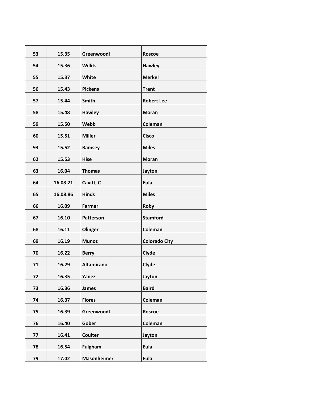| 53 | 15.35    | Greenwoodl         | <b>Roscoe</b>        |
|----|----------|--------------------|----------------------|
| 54 | 15.36    | <b>Willits</b>     | <b>Hawley</b>        |
| 55 | 15.37    | <b>White</b>       | <b>Merkel</b>        |
| 56 | 15.43    | <b>Pickens</b>     | <b>Trent</b>         |
| 57 | 15.44    | Smith              | <b>Robert Lee</b>    |
| 58 | 15.48    | <b>Hawley</b>      | <b>Moran</b>         |
| 59 | 15.50    | Webb               | Coleman              |
| 60 | 15.51    | <b>Miller</b>      | <b>Cisco</b>         |
| 93 | 15.52    | Ramsey             | <b>Miles</b>         |
| 62 | 15.53    | <b>Hise</b>        | <b>Moran</b>         |
| 63 | 16.04    | <b>Thomas</b>      | Jayton               |
| 64 | 16.08.21 | Cavitt, C          | Eula                 |
| 65 | 16.08.86 | <b>Hinds</b>       | <b>Miles</b>         |
| 66 | 16.09    | Farmer             | Roby                 |
| 67 | 16.10    | Patterson          | <b>Stamford</b>      |
| 68 | 16.11    | Olinger            | Coleman              |
| 69 | 16.19    | <b>Munoz</b>       | <b>Colorado City</b> |
| 70 | 16.22    | <b>Berry</b>       | Clyde                |
| 71 | 16.29    | <b>Altamirano</b>  | Clyde                |
| 72 | 16.35    | Yanez              | Jayton               |
| 73 | 16.36    | <b>James</b>       | <b>Baird</b>         |
| 74 | 16.37    | <b>Flores</b>      | Coleman              |
| 75 | 16.39    | Greenwoodl         | Roscoe               |
| 76 | 16.40    | Gober              | Coleman              |
| 77 | 16.41    | <b>Coulter</b>     | Jayton               |
| 78 | 16.54    | <b>Fulgham</b>     | Eula                 |
| 79 | 17.02    | <b>Masonheimer</b> | Eula                 |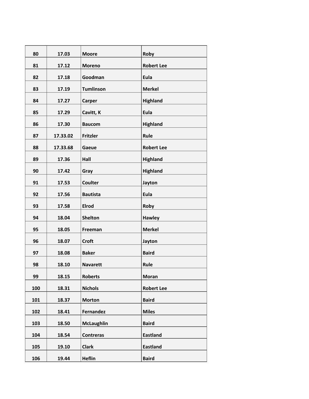| 80  | 17.03    | <b>Moore</b>      | Roby              |
|-----|----------|-------------------|-------------------|
| 81  | 17.12    | <b>Moreno</b>     | <b>Robert Lee</b> |
| 82  | 17.18    | Goodman           | Eula              |
| 83  | 17.19    | <b>Tumlinson</b>  | <b>Merkel</b>     |
| 84  | 17.27    | Carper            | <b>Highland</b>   |
| 85  | 17.29    | Cavitt, K         | Eula              |
| 86  | 17.30    | <b>Baucom</b>     | <b>Highland</b>   |
| 87  | 17.33.02 | <b>Fritzler</b>   | Rule              |
| 88  | 17.33.68 | Gaeue             | <b>Robert Lee</b> |
| 89  | 17.36    | Hall              | <b>Highland</b>   |
| 90  | 17.42    | Gray              | <b>Highland</b>   |
| 91  | 17.53    | <b>Coulter</b>    | Jayton            |
| 92  | 17.56    | <b>Bautista</b>   | Eula              |
| 93  | 17.58    | <b>Elrod</b>      | Roby              |
| 94  | 18.04    | <b>Shelton</b>    | <b>Hawley</b>     |
| 95  | 18.05    | Freeman           | <b>Merkel</b>     |
| 96  | 18.07    | <b>Croft</b>      | Jayton            |
| 97  | 18.08    | <b>Baker</b>      | <b>Baird</b>      |
| 98  | 18.10    | <b>Navarett</b>   | Rule              |
| 99  | 18.15    | <b>Roberts</b>    | <b>Moran</b>      |
| 100 | 18.31    | <b>Nichols</b>    | <b>Robert Lee</b> |
| 101 | 18.37    | <b>Morton</b>     | <b>Baird</b>      |
| 102 | 18.41    | <b>Fernandez</b>  | <b>Miles</b>      |
| 103 | 18.50    | <b>McLaughlin</b> | <b>Baird</b>      |
| 104 | 18.54    | <b>Contreras</b>  | <b>Eastland</b>   |
| 105 | 19.10    | <b>Clark</b>      | <b>Eastland</b>   |
| 106 | 19.44    | <b>Heflin</b>     | <b>Baird</b>      |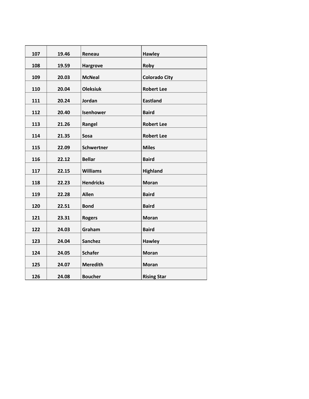| 107 | 19.46 | Reneau            | <b>Hawley</b>        |
|-----|-------|-------------------|----------------------|
| 108 | 19.59 | <b>Hargrove</b>   | Roby                 |
| 109 | 20.03 | <b>McNeal</b>     | <b>Colorado City</b> |
| 110 | 20.04 | <b>Oleksiuk</b>   | <b>Robert Lee</b>    |
| 111 | 20.24 | Jordan            | <b>Eastland</b>      |
| 112 | 20.40 | Isenhower         | <b>Baird</b>         |
| 113 | 21.26 | Rangel            | <b>Robert Lee</b>    |
| 114 | 21.35 | Sosa              | <b>Robert Lee</b>    |
| 115 | 22.09 | <b>Schwertner</b> | <b>Miles</b>         |
| 116 |       | <b>Bellar</b>     | <b>Baird</b>         |
|     | 22.12 |                   |                      |
| 117 | 22.15 | <b>Williams</b>   | Highland             |
| 118 | 22.23 | <b>Hendricks</b>  | <b>Moran</b>         |
| 119 | 22.28 | <b>Allen</b>      | <b>Baird</b>         |
| 120 | 22.51 | <b>Bond</b>       | <b>Baird</b>         |
| 121 | 23.31 | <b>Rogers</b>     | <b>Moran</b>         |
| 122 | 24.03 | Graham            | <b>Baird</b>         |
| 123 | 24.04 | <b>Sanchez</b>    | <b>Hawley</b>        |
| 124 | 24.05 | <b>Schafer</b>    | <b>Moran</b>         |
| 125 | 24.07 | <b>Meredith</b>   | <b>Moran</b>         |
| 126 | 24.08 | <b>Boucher</b>    | <b>Rising Star</b>   |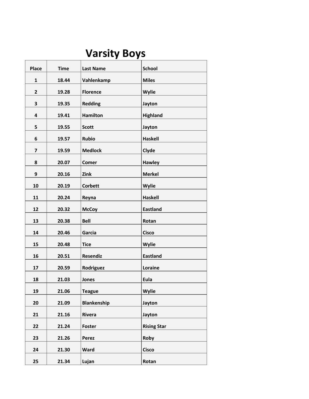# **Varsity Boys**

| <b>Place</b> | <b>Time</b> | <b>Last Name</b>   | <b>School</b>      |
|--------------|-------------|--------------------|--------------------|
| $\mathbf{1}$ | 18.44       | Vahlenkamp         | <b>Miles</b>       |
| $\mathbf{2}$ | 19.28       | <b>Florence</b>    | <b>Wylie</b>       |
| 3            | 19.35       | <b>Redding</b>     | Jayton             |
| 4            | 19.41       | <b>Hamilton</b>    | <b>Highland</b>    |
| 5            | 19.55       | <b>Scott</b>       | Jayton             |
| 6            | 19.57       | <b>Rubio</b>       | <b>Haskell</b>     |
| 7            | 19.59       | <b>Medlock</b>     | Clyde              |
| 8            | 20.07       | <b>Comer</b>       | <b>Hawley</b>      |
| 9            | 20.16       | Zink               | <b>Merkel</b>      |
| 10           | 20.19       | <b>Corbett</b>     | <b>Wylie</b>       |
| 11           | 20.24       | Reyna              | <b>Haskell</b>     |
| 12           | 20.32       | <b>McCoy</b>       | <b>Eastland</b>    |
| 13           | 20.38       | <b>Bell</b>        | Rotan              |
| 14           | 20.46       | Garcia             | <b>Cisco</b>       |
| 15           | 20.48       | <b>Tice</b>        | Wylie              |
| 16           | 20.51       | <b>Resendiz</b>    | <b>Eastland</b>    |
| 17           | 20.59       | Rodriguez          | Loraine            |
| 18           | 21.03       | <b>Jones</b>       | Eula               |
| 19           | 21.06       | <b>Teague</b>      | Wylie              |
| 20           | 21.09       | <b>Blankenship</b> | Jayton             |
| 21           | 21.16       | Rivera             | Jayton             |
| 22           | 21.24       | Foster             | <b>Rising Star</b> |
| 23           | 21.26       | Perez              | Roby               |
| 24           | 21.30       | <b>Ward</b>        | <b>Cisco</b>       |
| 25           | 21.34       | Lujan              | Rotan              |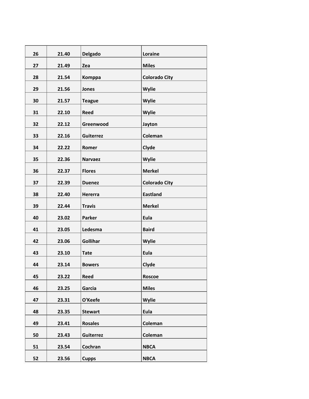| 26 | 21.40 | <b>Delgado</b>   | Loraine              |
|----|-------|------------------|----------------------|
| 27 | 21.49 | Zea              | <b>Miles</b>         |
| 28 | 21.54 | Komppa           | <b>Colorado City</b> |
| 29 | 21.56 | Jones            | Wylie                |
| 30 | 21.57 | <b>Teague</b>    | <b>Wylie</b>         |
| 31 | 22.10 | <b>Reed</b>      | Wylie                |
| 32 | 22.12 | Greenwood        | Jayton               |
| 33 | 22.16 | <b>Guiterrez</b> | Coleman              |
| 34 | 22.22 | Romer            | Clyde                |
| 35 | 22.36 | <b>Narvaez</b>   | Wylie                |
| 36 | 22.37 | <b>Flores</b>    | <b>Merkel</b>        |
| 37 | 22.39 | <b>Duenez</b>    | <b>Colorado City</b> |
| 38 | 22.40 | <b>Hererra</b>   | <b>Eastland</b>      |
| 39 | 22.44 | <b>Travis</b>    | <b>Merkel</b>        |
| 40 | 23.02 | <b>Parker</b>    | Eula                 |
| 41 |       |                  |                      |
|    | 23.05 | Ledesma          | <b>Baird</b>         |
| 42 | 23.06 | Gollihar         | Wylie                |
| 43 | 23.10 | <b>Tate</b>      | Eula                 |
| 44 | 23.14 | <b>Bowers</b>    | Clyde                |
| 45 | 23.22 | Reed             | Roscoe               |
| 46 | 23.25 | Garcia           | <b>Miles</b>         |
| 47 | 23.31 | O'Keefe          | Wylie                |
| 48 | 23.35 | <b>Stewart</b>   | Eula                 |
| 49 | 23.41 | <b>Rosales</b>   | Coleman              |
| 50 | 23.43 | Guiterrez        | Coleman              |
| 51 | 23.54 | Cochran          | <b>NBCA</b>          |
| 52 | 23.56 | <b>Cupps</b>     | <b>NBCA</b>          |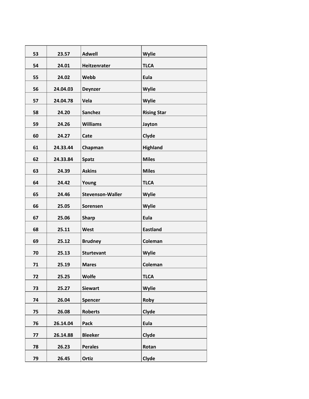| 53 | 23.57    | <b>Adwell</b>           | Wylie              |
|----|----------|-------------------------|--------------------|
| 54 | 24.01    | Heitzenrater            | <b>TLCA</b>        |
| 55 | 24.02    | Webb                    | Eula               |
| 56 | 24.04.03 | <b>Deynzer</b>          | Wylie              |
| 57 | 24.04.78 | Vela                    | Wylie              |
| 58 | 24.20    | <b>Sanchez</b>          | <b>Rising Star</b> |
| 59 | 24.26    | <b>Williams</b>         | Jayton             |
| 60 | 24.27    | Cate                    | Clyde              |
| 61 | 24.33.44 | Chapman                 | Highland           |
| 62 | 24.33.84 | <b>Spatz</b>            | <b>Miles</b>       |
| 63 | 24.39    | <b>Askins</b>           | <b>Miles</b>       |
| 64 | 24.42    | Young                   | <b>TLCA</b>        |
| 65 | 24.46    | <b>Stevenson-Waller</b> | Wylie              |
|    |          |                         |                    |
| 66 | 25.05    | Sorensen                | Wylie              |
| 67 | 25.06    | <b>Sharp</b>            | Eula               |
| 68 | 25.11    | West                    | <b>Eastland</b>    |
| 69 | 25.12    | <b>Brudney</b>          | Coleman            |
| 70 | 25.13    | <b>Sturtevant</b>       | Wylie              |
| 71 | 25.19    | <b>Mares</b>            | Coleman            |
| 72 | 25.25    | <b>Wolfe</b>            | <b>TLCA</b>        |
| 73 | 25.27    | <b>Siewart</b>          | Wylie              |
| 74 | 26.04    | Spencer                 | Roby               |
| 75 | 26.08    | <b>Roberts</b>          | Clyde              |
| 76 | 26.14.04 | Pack                    | Eula               |
| 77 | 26.14.88 | <b>Bleeker</b>          | Clyde              |
| 78 | 26.23    | <b>Perales</b>          | Rotan              |
| 79 | 26.45    | Ortiz                   | Clyde              |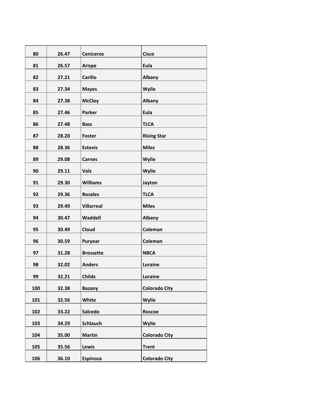| 80  | 26.47 | <b>Ceniceros</b>  | <b>Cisco</b>         |
|-----|-------|-------------------|----------------------|
| 81  | 26.57 | <b>Arispe</b>     | Eula                 |
| 82  | 27.21 | <b>Carillo</b>    | Albany               |
| 83  | 27.34 | <b>Mayes</b>      | Wylie                |
| 84  | 27.38 | <b>McCloy</b>     | Albany               |
| 85  | 27.46 | <b>Parker</b>     | Eula                 |
| 86  | 27.48 | <b>Bass</b>       | <b>TLCA</b>          |
| 87  | 28.20 | <b>Foster</b>     | <b>Rising Star</b>   |
| 88  | 28.36 | <b>Estevis</b>    | <b>Miles</b>         |
| 89  | 29.08 | <b>Carnes</b>     | Wylie                |
| 90  | 29.11 | <b>Volz</b>       | Wylie                |
| 91  | 29.30 | <b>Williams</b>   | Jayton               |
| 92  | 29.36 | <b>Rosales</b>    | <b>TLCA</b>          |
| 93  | 29.49 | <b>Villarreal</b> | <b>Miles</b>         |
| 94  | 30.47 | Waddell           | Albany               |
| 95  | 30.49 | <b>Cloud</b>      | Coleman              |
| 96  | 30.59 | Puryear           | Coleman              |
| 97  | 31.28 | <b>Brossette</b>  | <b>NBCA</b>          |
| 98  | 32.02 | <b>Anders</b>     | Loraine              |
| 99  | 32.21 | <b>Childs</b>     | Loraine              |
| 100 | 32.38 | <b>Bazany</b>     | <b>Colorado City</b> |
| 101 | 32.56 | <b>White</b>      | Wylie                |
| 102 | 33.22 | Salcedo           | Roscoe               |
| 103 | 34.29 | <b>Schlauch</b>   | Wylie                |
| 104 | 35.00 | <b>Martin</b>     | <b>Colorado City</b> |
| 105 | 35.56 | Lewis             | <b>Trent</b>         |
| 106 | 36.10 | Espinoza          | <b>Colorado City</b> |